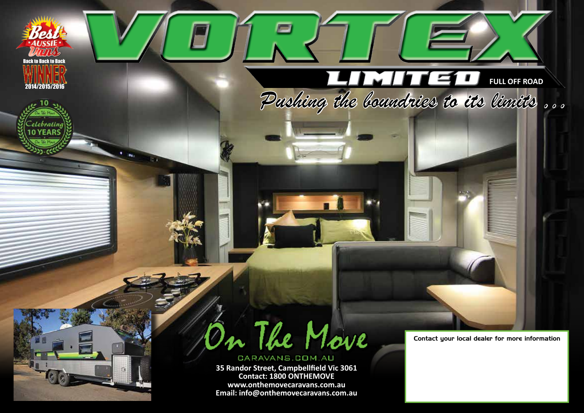

**35 Randor Street, Campbellfeld Vic 3061 Contact: 1800 ONTHEMOVE www.onthemovecaravans.com.au Email: info@onthemovecaravans.com.au**